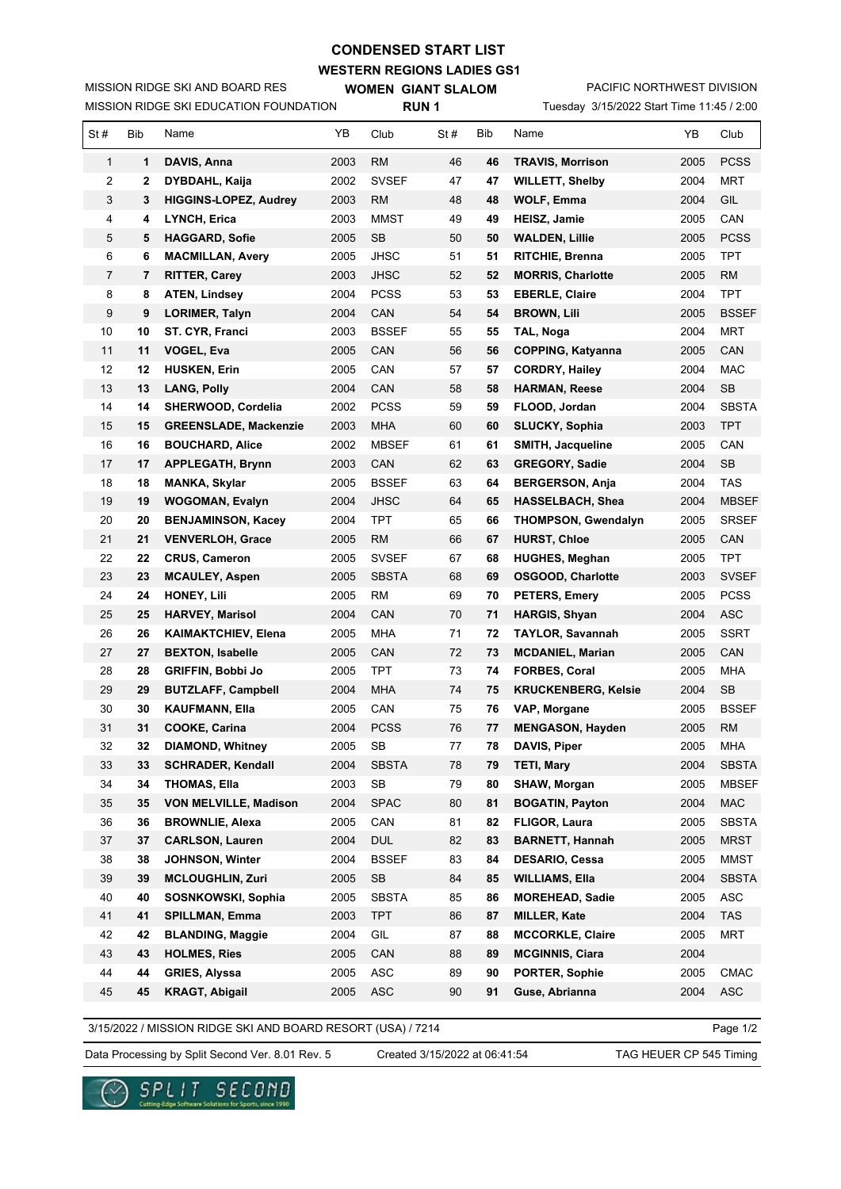## **CONDENSED START LIST**

**WESTERN REGIONS LADIES GS1**

MISSION RIDGE SKI EDUCATION FOUNDATION MISSION RIDGE SKI AND BOARD RES

**WOMEN GIANT SLALOM RUN 1**

PACIFIC NORTHWEST DIVISION

| Tuesday 3/15/2022 Start Time 11:45 / 2:00 |
|-------------------------------------------|
|                                           |

| St#            | <b>Bib</b> | Name                                        | YΒ           | Club                               | St#      | Bib      | Name                                          | YB           | Club              |
|----------------|------------|---------------------------------------------|--------------|------------------------------------|----------|----------|-----------------------------------------------|--------------|-------------------|
| 1              | 1          | DAVIS, Anna                                 | 2003         | RM                                 | 46       | 46       | <b>TRAVIS, Morrison</b>                       | 2005         | <b>PCSS</b>       |
| 2              | 2          | DYBDAHL, Kaija                              | 2002         | <b>SVSEF</b>                       | 47       | 47       | <b>WILLETT, Shelby</b>                        | 2004         | <b>MRT</b>        |
| 3              | 3          | <b>HIGGINS-LOPEZ, Audrey</b>                | 2003         | RM                                 | 48       | 48       | WOLF, Emma                                    | 2004         | GIL               |
| 4              | 4          | LYNCH, Erica                                | 2003         | <b>MMST</b>                        | 49       | 49       | <b>HEISZ, Jamie</b>                           | 2005         | CAN               |
| 5              | 5          | <b>HAGGARD, Sofie</b>                       | 2005         | SB                                 | 50       | 50       | <b>WALDEN, Lillie</b>                         | 2005         | <b>PCSS</b>       |
| 6              | 6          | <b>MACMILLAN, Avery</b>                     | 2005         | <b>JHSC</b>                        | 51       | 51       | <b>RITCHIE, Brenna</b>                        | 2005         | <b>TPT</b>        |
| $\overline{7}$ | 7          | <b>RITTER, Carey</b>                        | 2003         | JHSC                               | 52       | 52       | <b>MORRIS, Charlotte</b>                      | 2005         | <b>RM</b>         |
| 8              | 8          | <b>ATEN, Lindsey</b>                        | 2004         | <b>PCSS</b>                        | 53       | 53       | <b>EBERLE, Claire</b>                         | 2004         | <b>TPT</b>        |
| 9              | 9          | <b>LORIMER, Talyn</b>                       | 2004         | CAN                                | 54       | 54       | <b>BROWN, Lili</b>                            | 2005         | <b>BSSEF</b>      |
| 10             | 10         | ST. CYR, Franci                             | 2003         | <b>BSSEF</b>                       | 55       | 55       | TAL, Noga                                     | 2004         | <b>MRT</b>        |
| 11             | 11         | VOGEL, Eva                                  | 2005         | CAN                                | 56       | 56       | <b>COPPING, Katyanna</b>                      | 2005         | CAN               |
| 12             | 12         | <b>HUSKEN, Erin</b>                         | 2005         | CAN                                | 57       | 57       | <b>CORDRY, Hailey</b>                         | 2004         | <b>MAC</b>        |
| 13             | 13         | <b>LANG, Polly</b>                          | 2004         | CAN                                | 58       | 58       | <b>HARMAN, Reese</b>                          | 2004         | <b>SB</b>         |
| 14             | 14         | SHERWOOD, Cordelia                          | 2002         | <b>PCSS</b>                        | 59       | 59       | FLOOD, Jordan                                 | 2004         | <b>SBSTA</b>      |
| 15             | 15         | <b>GREENSLADE, Mackenzie</b>                | 2003         | <b>MHA</b>                         | 60       | 60       | <b>SLUCKY, Sophia</b>                         | 2003         | <b>TPT</b>        |
| 16             | 16         | <b>BOUCHARD, Alice</b>                      | 2002         | <b>MBSEF</b>                       | 61       | 61       | <b>SMITH, Jacqueline</b>                      | 2005         | CAN               |
| 17             | 17         | <b>APPLEGATH, Brynn</b>                     | 2003         | CAN                                | 62       | 63       | <b>GREGORY, Sadie</b>                         | 2004         | <b>SB</b>         |
| 18             | 18         | <b>MANKA, Skylar</b>                        | 2005         | <b>BSSEF</b>                       | 63       | 64       | <b>BERGERSON, Anja</b>                        | 2004         | TAS               |
| 19             | 19         | <b>WOGOMAN, Evalyn</b>                      | 2004         | <b>JHSC</b>                        | 64       | 65       | <b>HASSELBACH, Shea</b>                       | 2004         | <b>MBSEF</b>      |
| 20             | 20         | <b>BENJAMINSON, Kacey</b>                   | 2004         | TPT                                | 65       | 66       | <b>THOMPSON, Gwendalyn</b>                    | 2005         | <b>SRSEF</b>      |
| 21             | 21         | <b>VENVERLOH, Grace</b>                     | 2005         | RM                                 | 66       | 67       | <b>HURST, Chloe</b>                           | 2005         | CAN               |
| 22             | 22         | <b>CRUS, Cameron</b>                        | 2005         | <b>SVSEF</b>                       | 67       | 68       | <b>HUGHES, Meghan</b>                         | 2005         | <b>TPT</b>        |
| 23             | 23         | <b>MCAULEY, Aspen</b>                       | 2005         | <b>SBSTA</b>                       | 68       | 69       | <b>OSGOOD, Charlotte</b>                      | 2003         | <b>SVSEF</b>      |
| 24             | 24         | <b>HONEY, Lili</b>                          | 2005         | RM                                 | 69       | 70       | <b>PETERS, Emery</b>                          | 2005         | <b>PCSS</b>       |
| 25             | 25         | <b>HARVEY, Marisol</b>                      | 2004         | CAN                                | 70       | 71       | <b>HARGIS, Shyan</b>                          | 2004         | ASC               |
| 26             | 26         | <b>KAIMAKTCHIEV, Elena</b>                  | 2005         | MHA                                | 71       | 72       | <b>TAYLOR, Savannah</b>                       | 2005         | SSRT              |
| 27             | 27         | <b>BEXTON, Isabelle</b>                     | 2005         | CAN                                | 72       | 73       | <b>MCDANIEL, Marian</b>                       | 2005         | CAN               |
| 28             | 28         | <b>GRIFFIN, Bobbi Jo</b>                    | 2005         | <b>TPT</b>                         | 73       | 74       | FORBES, Coral                                 | 2005         | <b>MHA</b>        |
| 29             | 29         | <b>BUTZLAFF, Campbell</b>                   | 2004         | <b>MHA</b>                         | 74       | 75       | <b>KRUCKENBERG, Kelsie</b>                    | 2004         | <b>SB</b>         |
| 30             | 30         | <b>KAUFMANN, Ella</b>                       | 2005         | CAN                                | 75       | 76       | VAP, Morgane                                  | 2005         | <b>BSSEF</b>      |
| 31             | 31         | COOKE, Carina                               | 2004         | <b>PCSS</b>                        | 76       | 77       | <b>MENGASON, Hayden</b>                       | 2005         | <b>RM</b>         |
| 32             | 32         | <b>DIAMOND, Whitney</b>                     | 2005         | SB                                 | 77       | 78       | DAVIS, Piper                                  | 2005         | <b>MHA</b>        |
| 33             | 33         | <b>SCHRADER, Kendall</b>                    | 2004         | <b>SBSTA</b>                       | 78       | 79       | <b>TETI, Mary</b>                             | 2004         | <b>SBSTA</b>      |
| 34             | 34         | <b>THOMAS, Ella</b>                         | 2003         | SB                                 | 79       | 80       | <b>SHAW, Morgan</b>                           | 2005         | <b>MBSEF</b>      |
| 35             | 35         | <b>VON MELVILLE, Madison</b>                | 2004         | <b>SPAC</b>                        | 80       | 81       | <b>BOGATIN, Payton</b>                        | 2004         | <b>MAC</b>        |
| 36             | 36         | <b>BROWNLIE, Alexa</b>                      | 2005         | CAN                                | 81       | 82       | FLIGOR, Laura                                 | 2005         | <b>SBSTA</b>      |
| 37             | 37         | <b>CARLSON, Lauren</b>                      | 2004         | <b>DUL</b>                         | 82       | 83       | <b>BARNETT, Hannah</b>                        | 2005         | <b>MRST</b>       |
| 38             | 38         | JOHNSON, Winter                             | 2004         | <b>BSSEF</b>                       | 83       | 84       | <b>DESARIO, Cessa</b>                         | 2005         | MMST              |
| 39             | 39         | <b>MCLOUGHLIN, Zuri</b>                     | 2005         | SB                                 | 84       | 85       | <b>WILLIAMS, Ella</b>                         | 2004         | <b>SBSTA</b>      |
| 40<br>41       | 40<br>41   | SOSNKOWSKI, Sophia<br><b>SPILLMAN, Emma</b> | 2005         | <b>SBSTA</b>                       | 85<br>86 | 86       | <b>MOREHEAD, Sadie</b><br><b>MILLER, Kate</b> | 2005<br>2004 | ASC<br><b>TAS</b> |
|                |            |                                             | 2003         | <b>TPT</b>                         |          | 87       |                                               |              |                   |
| 42<br>43       | 42<br>43   | <b>BLANDING, Maggie</b>                     | 2004         | GIL                                | 87       | 88       | <b>MCCORKLE, Claire</b>                       | 2005<br>2004 | <b>MRT</b>        |
| 44             | 44         | <b>HOLMES, Ries</b><br><b>GRIES, Alyssa</b> | 2005<br>2005 | CAN<br>$\boldsymbol{\mathsf{ASC}}$ | 88<br>89 | 89<br>90 | <b>MCGINNIS, Ciara</b><br>PORTER, Sophie      | 2005         | <b>CMAC</b>       |
|                |            |                                             |              |                                    |          |          |                                               |              |                   |
| 45             | 45         | <b>KRAGT, Abigail</b>                       | 2005         | ASC                                | 90       | 91       | Guse, Abrianna                                | 2004         | <b>ASC</b>        |

3/15/2022 / MISSION RIDGE SKI AND BOARD RESORT (USA) / 7214

Data Processing by Split Second Ver. 8.01 Rev. 5 Created 3/15/2022 at 06:41:54 TAG HEUER CP 545 Timing

Created 3/15/2022 at 06:41:54

Page 1/2